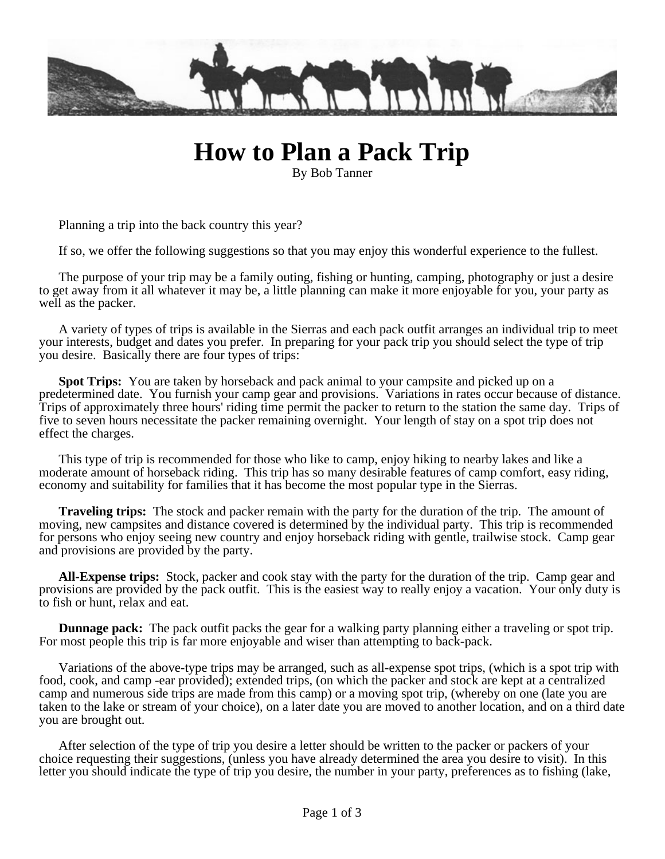

## **How to Plan a Pack Trip**

By Bob Tanner

Planning a trip into the back country this year?

If so, we offer the following suggestions so that you may enjoy this wonderful experience to the fullest.

The purpose of your trip may be a family outing, fishing or hunting, camping, photography or just a desire to get away from it all whatever it may be, a little planning can make it more enjoyable for you, your party as well as the packer.

A variety of types of trips is available in the Sierras and each pack outfit arranges an individual trip to meet your interests, budget and dates you prefer. In preparing for your pack trip you should select the type of trip you desire. Basically there are four types of trips:

**Spot Trips:** You are taken by horseback and pack animal to your campsite and picked up on a predetermined date. You furnish your camp gear and provisions. Variations in rates occur because of distance. Trips of approximately three hours' riding time permit the packer to return to the station the same day. Trips of five to seven hours necessitate the packer remaining overnight. Your length of stay on a spot trip does not effect the charges.

This type of trip is recommended for those who like to camp, enjoy hiking to nearby lakes and like a moderate amount of horseback riding. This trip has so many desirable features of camp comfort, easy riding, economy and suitability for families that it has become the most popular type in the Sierras.

**Traveling trips:** The stock and packer remain with the party for the duration of the trip. The amount of moving, new campsites and distance covered is determined by the individual party. This trip is recommended for persons who enjoy seeing new country and enjoy horseback riding with gentle, trailwise stock. Camp gear and provisions are provided by the party.

**All-Expense trips:** Stock, packer and cook stay with the party for the duration of the trip. Camp gear and provisions are provided by the pack outfit. This is the easiest way to really enjoy a vacation. Your only duty is to fish or hunt, relax and eat.

**Dunnage pack:** The pack outfit packs the gear for a walking party planning either a traveling or spot trip. For most people this trip is far more enjoyable and wiser than attempting to back-pack.

Variations of the above-type trips may be arranged, such as all-expense spot trips, (which is a spot trip with food, cook, and camp -ear provided); extended trips, (on which the packer and stock are kept at a centralized camp and numerous side trips are made from this camp) or a moving spot trip, (whereby on one (late you are taken to the lake or stream of your choice), on a later date you are moved to another location, and on a third date you are brought out.

After selection of the type of trip you desire a letter should be written to the packer or packers of your choice requesting their suggestions, (unless you have already determined the area you desire to visit). In this letter you should indicate the type of trip you desire, the number in your party, preferences as to fishing (lake,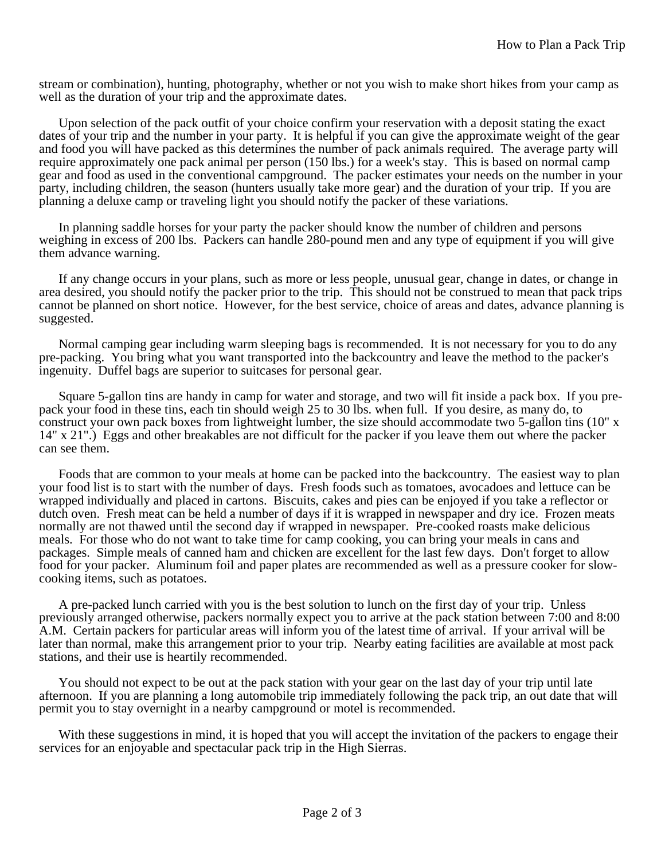stream or combination), hunting, photography, whether or not you wish to make short hikes from your camp as well as the duration of your trip and the approximate dates.

Upon selection of the pack outfit of your choice confirm your reservation with a deposit stating the exact dates of your trip and the number in your party. It is helpful if you can give the approximate weight of the gear and food you will have packed as this determines the number of pack animals required. The average party will require approximately one pack animal per person (150 lbs.) for a week's stay. This is based on normal camp gear and food as used in the conventional campground. The packer estimates your needs on the number in your party, including children, the season (hunters usually take more gear) and the duration of your trip. If you are planning a deluxe camp or traveling light you should notify the packer of these variations.

In planning saddle horses for your party the packer should know the number of children and persons weighing in excess of 200 lbs. Packers can handle 280-pound men and any type of equipment if you will give them advance warning.

If any change occurs in your plans, such as more or less people, unusual gear, change in dates, or change in area desired, you should notify the packer prior to the trip. This should not be construed to mean that pack trips cannot be planned on short notice. However, for the best service, choice of areas and dates, advance planning is suggested.

Normal camping gear including warm sleeping bags is recommended. It is not necessary for you to do any pre-packing. You bring what you want transported into the backcountry and leave the method to the packer's ingenuity. Duffel bags are superior to suitcases for personal gear.

Square 5-gallon tins are handy in camp for water and storage, and two will fit inside a pack box. If you prepack your food in these tins, each tin should weigh 25 to 30 lbs. when full. If you desire, as many do, to construct your own pack boxes from lightweight lumber, the size should accommodate two 5-gallon tins (10" x 14" x 21".) Eggs and other breakables are not difficult for the packer if you leave them out where the packer can see them.

Foods that are common to your meals at home can be packed into the backcountry. The easiest way to plan your food list is to start with the number of days. Fresh foods such as tomatoes, avocadoes and lettuce can be wrapped individually and placed in cartons. Biscuits, cakes and pies can be enjoyed if you take a reflector or dutch oven. Fresh meat can be held a number of days if it is wrapped in newspaper and dry ice. Frozen meats normally are not thawed until the second day if wrapped in newspaper. Pre-cooked roasts make delicious meals. For those who do not want to take time for camp cooking, you can bring your meals in cans and packages. Simple meals of canned ham and chicken are excellent for the last few days. Don't forget to allow food for your packer. Aluminum foil and paper plates are recommended as well as a pressure cooker for slowcooking items, such as potatoes.

A pre-packed lunch carried with you is the best solution to lunch on the first day of your trip. Unless previously arranged otherwise, packers normally expect you to arrive at the pack station between 7:00 and 8:00 A.M. Certain packers for particular areas will inform you of the latest time of arrival. If your arrival will be later than normal, make this arrangement prior to your trip. Nearby eating facilities are available at most pack stations, and their use is heartily recommended.

You should not expect to be out at the pack station with your gear on the last day of your trip until late afternoon. If you are planning a long automobile trip immediately following the pack trip, an out date that will permit you to stay overnight in a nearby campground or motel is recommended.

With these suggestions in mind, it is hoped that you will accept the invitation of the packers to engage their services for an enjoyable and spectacular pack trip in the High Sierras.